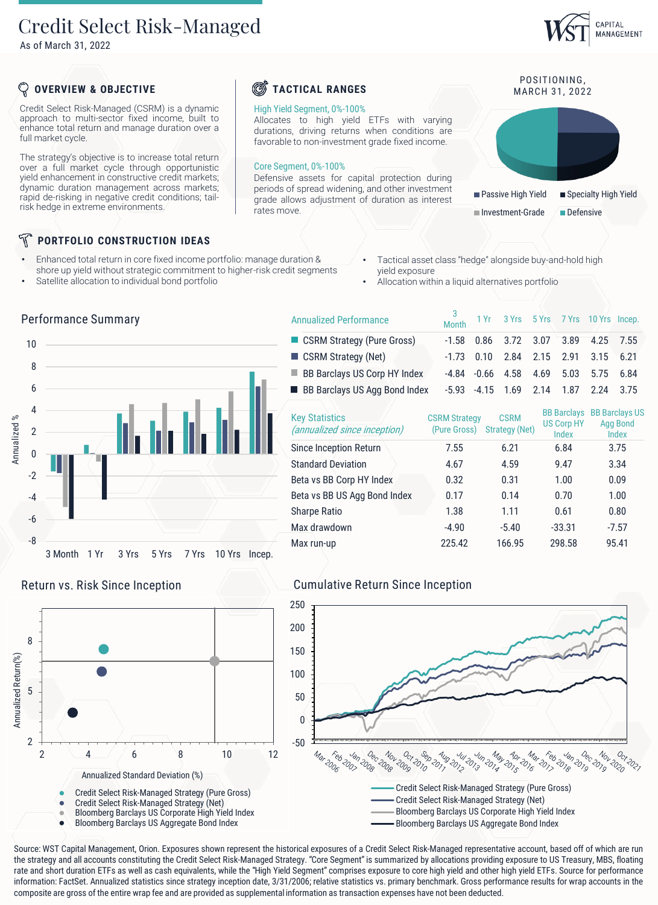## Credit Select Risk-Managed

As of March 31, 2022

## CAPITAL MANAGEMENT

POSITIONING.

■ Passive High Yield ■ Specialty High Yield

Investment-Grade Defensive

## **OVERVIEW & OBJECTIVE**

Credit Select Risk-Managed (CSRM) is a dynamic approach to multi-sector fixed income, built to enhance total return and manage duration over a full market cycle.

The strategy's objective is to increase total return over a full market cycle through opportunistic yield enhancement in constructive credit markets; dynamic duration management across markets; rapid de-risking in negative credit conditions; tailrisk hedge in extreme environments.

## **PORTFOLIO CONSTRUCTION IDEAS**

- Enhanced total return in core fixed income portfolio: manage duration & shore up yield without strategic commitment to higher-risk credit segments
- Satellite allocation to individual bond portfolio

Performance Summary

- Tactical asset class "hedge" alongside buy-and-hold high yield exposure
- Allocation within a liquid alternatives portfolio

**TACTICAL RANGES** MARCH 31, 2022

High Yield Segment, 0%-100%

Core Segment, 0%-100%

rates move.

Allocates to high yield ETFs with varying durations, driving returns when conditions are favorable to non-investment grade fixed income.

Defensive assets for capital protection during periods of spread widening, and other investment grade allows adjustment of duration as interest

|              |                |         |      | ---<br>-- <i>J</i> |       |       |               |  |
|--------------|----------------|---------|------|--------------------|-------|-------|---------------|--|
|              | 10             |         |      |                    |       |       |               |  |
| Annualized % | 8              |         |      |                    |       |       |               |  |
|              | $6\,$          |         |      |                    |       |       |               |  |
|              | 4              |         |      |                    |       |       |               |  |
|              | $\overline{2}$ |         |      |                    |       |       |               |  |
|              | $\mathbf{0}$   |         |      |                    |       |       |               |  |
|              | $-2$           |         |      |                    |       |       |               |  |
|              | $-4$           |         |      |                    |       |       |               |  |
|              | $-6$           |         |      |                    |       |       |               |  |
|              | $-8$           |         |      |                    |       |       |               |  |
|              |                | 3 Month | 1 Yr | 3 Yrs              | 5 Yrs | 7 Yrs | 10 Yrs Incep. |  |





#### 3 Month 1 Yr 3 Yrs 5 Yrs 7 Yrs 10 Yrs Incep. ■ CSRM Strategy (Pure Gross) -1.58 0.86 3.72 3.07 3.89 4.25 7.55 ■ CSRM Strategy (Net) -1.73 0.10 2.84 2.15 2.91 3.15 6.21 BB Barclays US Corp HY Index -4.84 -0.66 4.58 4.69 5.03 5.75 6.84 ■ BB Barclays US Agg Bond Index -5.93 -4.15 1.69 2.14 1.87 2.24 3.75 Annualized Performance

| <b>Key Statistics</b><br>(annualized since inception) | <b>CSRM Strategy</b><br>(Pure Gross) | <b>CSRM</b><br>Strategy (Net) | <b>BB Barclays</b><br><b>US Corp HY</b><br>Index | <b>BB Barclays US</b><br><b>Agg Bond</b><br>Index |
|-------------------------------------------------------|--------------------------------------|-------------------------------|--------------------------------------------------|---------------------------------------------------|
| Since Inception Return                                | 7.55                                 | 6.21                          | 6.84                                             | 3.75                                              |
| <b>Standard Deviation</b>                             | 4.67                                 | 4.59                          | 9.47                                             | 3.34                                              |
| Beta vs BB Corp HY Index                              | 0.32                                 | 0.31                          | 1.00                                             | 0.09                                              |
| Beta vs BB US Agg Bond Index                          | 0.17                                 | 0.14                          | 0.70                                             | 1.00                                              |
| <b>Sharpe Ratio</b>                                   | 1.38                                 | 1.11                          | 0.61                                             | 0.80                                              |
| Max drawdown                                          | $-4.90$                              | $-5.40$                       | $-33.31$                                         | $-7.57$                                           |
| Max run-up                                            | 225.42                               | 166.95                        | 298.58                                           | 95.41                                             |

## Return vs. Risk Since Inception Cumulative Return Since Inception



Source: WST Capital Management, Orion. Exposures shown represent the historical exposures of a Credit Select Risk-Managed representative account, based off of which are run the strategy and all accounts constituting the Credit Select Risk-Managed Strategy. "Core Segment" is summarized by allocations providing exposure to US Treasury, MBS, floating rate and short duration ETFs as well as cash equivalents, while the "High Yield Segment" comprises exposure to core high yield and other high yield ETFs. Source for performance information: FactSet. Annualized statistics since strategy inception date, 3/31/2006; relative statistics vs. primary benchmark. Gross performance results for wrap accounts in the